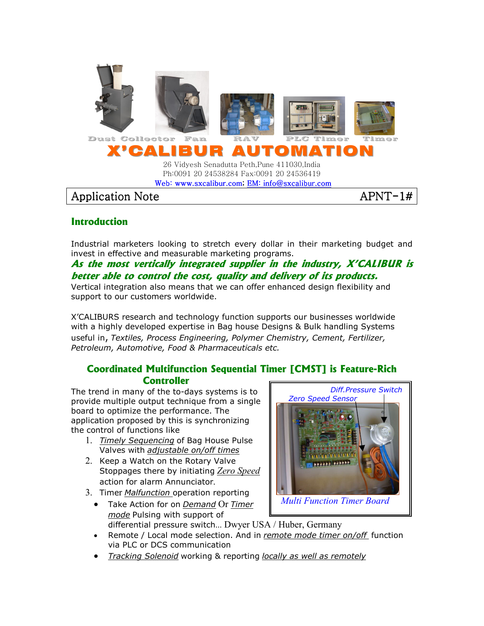

**Introduction** 

#### Industrial marketers looking to stretch every dollar in their marketing budget and invest in effective and measurable marketing programs.

# **As the most vertically integrated supplier in the industry, X'CALIBUR is better able to control the cost, quality and delivery of its products.**

Vertical integration also means that we can offer enhanced design flexibility and support to our customers worldwide.

X'CALIBURS research and technology function supports our businesses worldwide with a highly developed expertise in Bag house Designs & Bulk handling Systems useful in, Textiles, Process Engineering, Polymer Chemistry, Cement, Fertilizer, Petroleum, Automotive, Food & Pharmaceuticals etc.

## **Coordinated Multifunction Sequential Timer [CMST] is Feature-Rich Controller**

The trend in many of the to-days systems is to provide multiple output technique from a single board to optimize the performance. The application proposed by this is synchronizing the control of functions like

- 1. Timely Sequencing of Bag House Pulse Valves with adjustable on/off times
- 2. Keep a Watch on the Rotary Valve Stoppages there by initiating Zero Speed action for alarm Annunciator.
- 3. Timer Malfunction operation reporting
	- Take Action for on Demand Or Timer mode Pulsing with support of differential pressure switch… Dwyer USA / Huber, Germany



- Remote / Local mode selection. And in remote mode timer on/off function via PLC or DCS communication
- Tracking Solenoid working & reporting locally as well as remotely